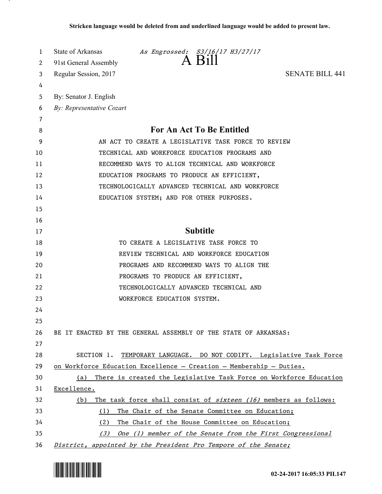| 1  | State of Arkansas<br>As Engrossed: $\overline{3}/16/17$ $\overline{13}/27/17$<br>A $\overline{11}$ |
|----|----------------------------------------------------------------------------------------------------|
| 2  | 91st General Assembly                                                                              |
| 3  | <b>SENATE BILL 441</b><br>Regular Session, 2017                                                    |
| 4  |                                                                                                    |
| 5  | By: Senator J. English                                                                             |
| 6  | By: Representative Cozart                                                                          |
| 7  | For An Act To Be Entitled                                                                          |
| 8  |                                                                                                    |
| 9  | AN ACT TO CREATE A LEGISLATIVE TASK FORCE TO REVIEW                                                |
| 10 | TECHNICAL AND WORKFORCE EDUCATION PROGRAMS AND                                                     |
| 11 | RECOMMEND WAYS TO ALIGN TECHNICAL AND WORKFORCE                                                    |
| 12 | EDUCATION PROGRAMS TO PRODUCE AN EFFICIENT,                                                        |
| 13 | TECHNOLOGICALLY ADVANCED TECHNICAL AND WORKFORCE                                                   |
| 14 | EDUCATION SYSTEM; AND FOR OTHER PURPOSES.                                                          |
| 15 |                                                                                                    |
| 16 |                                                                                                    |
| 17 | <b>Subtitle</b>                                                                                    |
| 18 | TO CREATE A LEGISLATIVE TASK FORCE TO                                                              |
| 19 | REVIEW TECHNICAL AND WORKFORCE EDUCATION                                                           |
| 20 | PROGRAMS AND RECOMMEND WAYS TO ALIGN THE                                                           |
| 21 | PROGRAMS TO PRODUCE AN EFFICIENT,                                                                  |
| 22 | TECHNOLOGICALLY ADVANCED TECHNICAL AND                                                             |
| 23 | WORKFORCE EDUCATION SYSTEM.                                                                        |
| 24 |                                                                                                    |
| 25 |                                                                                                    |
| 26 | BE IT ENACTED BY THE GENERAL ASSEMBLY OF THE STATE OF ARKANSAS:                                    |
| 27 |                                                                                                    |
| 28 | SECTION 1.<br>TEMPORARY LANGUAGE. DO NOT CODIFY. Legislative Task Force                            |
| 29 | on Workforce Education Excellence - Creation - Membership - Duties.                                |
| 30 | There is created the Legislative Task Force on Workforce Education<br>(a)                          |
| 31 | Excellence.                                                                                        |
| 32 | The task force shall consist of <i>sixteen</i> (16) members as follows:<br>(b)                     |
| 33 | (1)<br>The Chair of the Senate Committee on Education;                                             |
| 34 | (2)<br>The Chair of the House Committee on Education;                                              |
| 35 | (3)<br>One (1) member of the Senate from the First Congressional                                   |
| 36 | District, appointed by the President Pro Tempore of the Senate;                                    |



.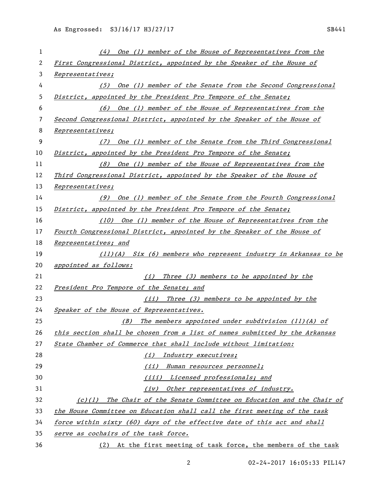| 1  | (4) One (1) member of the House of Representatives from the                 |
|----|-----------------------------------------------------------------------------|
| 2  | First Congressional District, appointed by the Speaker of the House of      |
| 3  | Representatives;                                                            |
| 4  | (5) One (1) member of the Senate from the Second Congressional              |
| 5  | District, appointed by the President Pro Tempore of the Senate;             |
| 6  | (6) One (1) member of the House of Representatives from the                 |
| 7  | Second Congressional District, appointed by the Speaker of the House of     |
| 8  | Representatives;                                                            |
| 9  | (7) One (1) member of the Senate from the Third Congressional               |
| 10 | District, appointed by the President Pro Tempore of the Senate;             |
| 11 | (8) One (1) member of the House of Representatives from the                 |
| 12 | Third Congressional District, appointed by the Speaker of the House of      |
| 13 | Representatives;                                                            |
| 14 | (9) One (1) member of the Senate from the Fourth Congressional              |
| 15 | District, appointed by the President Pro Tempore of the Senate;             |
| 16 | (10) One (1) member of the House of Representatives from the                |
| 17 | Fourth Congressional District, appointed by the Speaker of the House of     |
| 18 | Representatives; and                                                        |
| 19 | (11)(A) Six (6) members who represent industry in Arkansas to be            |
| 20 | appointed as follows:                                                       |
| 21 | (i) Three (3) members to be appointed by the                                |
| 22 | President Pro Tempore of the Senate; and                                    |
| 23 | Three (3) members to be appointed by the<br>(ii)                            |
| 24 | Speaker of the House of Representatives.                                    |
| 25 | The members appointed under subdivision (11)(A) of<br>(B)                   |
| 26 | this section shall be chosen from a list of names submitted by the Arkansas |
| 27 | State Chamber of Commerce that shall include without limitation:            |
| 28 | Industry executives;<br>(i)                                                 |
| 29 | (ii) Human resources personnel;                                             |
| 30 | (iii) Licensed professionals; and                                           |
| 31 | (iv) Other representatives of industry.                                     |
| 32 | (c)(1) The Chair of the Senate Committee on Education and the Chair of      |
| 33 | the House Committee on Education shall call the first meeting of the task   |
| 34 | force within sixty (60) days of the effective date of this act and shall    |
| 35 | serve as cochairs of the task force.                                        |
| 36 | (2) At the first meeting of task force, the members of the task             |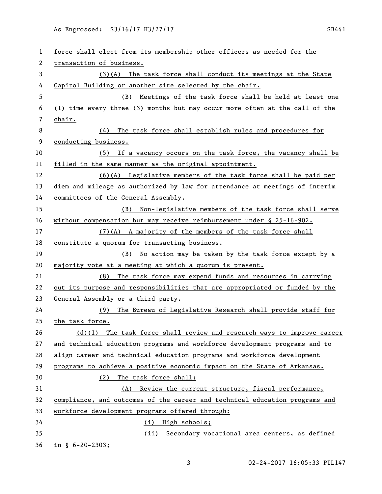As Engrossed: S3/16/17 H3/27/17 SB441

| 1                     | force shall elect from its membership other officers as needed for the      |
|-----------------------|-----------------------------------------------------------------------------|
| $\mathbf{2}^{\prime}$ | transaction of business.                                                    |
| 3                     | (3)(A) The task force shall conduct its meetings at the State               |
| 4                     | Capitol Building or another site selected by the chair.                     |
| 5                     | (B) Meetings of the task force shall be held at least one                   |
| 6                     | (1) time every three (3) months but may occur more often at the call of the |
| 7                     | chair.                                                                      |
| 8                     | The task force shall establish rules and procedures for<br>(4)              |
| 9                     | conducting business.                                                        |
| 10                    | (5) If a vacancy occurs on the task force, the vacancy shall be             |
| 11                    | filled in the same manner as the original appointment.                      |
| 12                    | $(6)(A)$ Legislative members of the task force shall be paid per            |
| 13                    | diem and mileage as authorized by law for attendance at meetings of interim |
| 14                    | committees of the General Assembly.                                         |
| 15                    | (B) Non-legislative members of the task force shall serve                   |
| 16                    | without compensation but may receive reimbursement under $\S$ 25-16-902.    |
| 17                    | (7)(A) A majority of the members of the task force shall                    |
| 18                    | constitute a quorum for transacting business.                               |
| 19                    | (B) No action may be taken by the task force except by a                    |
| 20                    | majority vote at a meeting at which a quorum is present.                    |
| 21                    | The task force may expend funds and resources in carrying<br>(8)            |
| 22                    | out its purpose and responsibilities that are appropriated or funded by the |
| 23                    | General Assembly or a third party.                                          |
| 24                    | (9) The Bureau of Legislative Research shall provide staff for              |
| 25                    | the task force.                                                             |
| 26                    | $(d)(1)$ The task force shall review and research ways to improve career    |
| 27                    | and technical education programs and workforce development programs and to  |
| 28                    | align career and technical education programs and workforce development     |
| 29                    | programs to achieve a positive economic impact on the State of Arkansas.    |
| 30                    | The task force shall:<br>(2)                                                |
| 31                    | (A) Review the current structure, fiscal performance,                       |
| 32                    | compliance, and outcomes of the career and technical education programs and |
| 33                    | workforce development programs offered through:                             |
| 34                    | (i) High schools;                                                           |
| 35                    | (ii) Secondary vocational area centers, as defined                          |
| 36                    | $in \S 6 - 20 - 2303;$                                                      |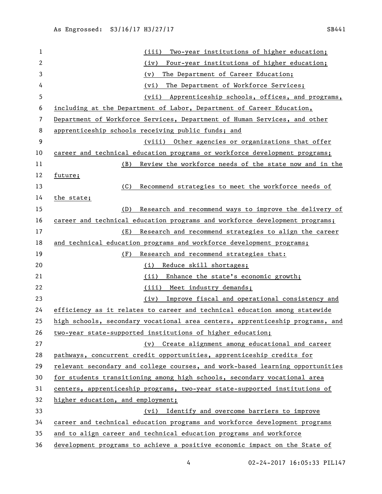| 1  | Two-year institutions of higher education;<br>(iii)                           |
|----|-------------------------------------------------------------------------------|
| 2  | Four-year institutions of higher education;<br>(iv)                           |
| 3  | The Department of Career Education;<br>(v)                                    |
| 4  | The Department of Workforce Services;<br>(vi)                                 |
| 5  | Apprenticeship schools, offices, and programs,<br>(vii)                       |
| 6  | including at the Department of Labor, Department of Career Education,         |
| 7  | Department of Workforce Services, Department of Human Services, and other     |
| 8  | apprenticeship schools receiving public funds; and                            |
| 9  | (viii) Other agencies or organizations that offer                             |
| 10 | career and technical education programs or workforce development programs;    |
| 11 | Review the workforce needs of the state now and in the<br>(B)                 |
| 12 | future;                                                                       |
| 13 | (C)<br>Recommend strategies to meet the workforce needs of                    |
| 14 | the state;                                                                    |
| 15 | Research and recommend ways to improve the delivery of<br>(D)                 |
| 16 | career and technical education programs and workforce development programs;   |
| 17 | Research and recommend strategies to align the career<br>(E)                  |
| 18 | and technical education programs and workforce development programs;          |
| 19 | (F)<br>Research and recommend strategies that:                                |
| 20 | Reduce skill shortages;<br>(i)                                                |
| 21 | Enhance the state's economic growth;<br>(ii)                                  |
| 22 | (iii) Meet industry demands;                                                  |
| 23 | Improve fiscal and operational consistency and<br>(iv)                        |
| 24 | efficiency as it relates to career and technical education among statewide    |
| 25 | high schools, secondary vocational area centers, apprenticeship programs, and |
| 26 | two-year state-supported institutions of higher education;                    |
| 27 | (v) Create alignment among educational and career                             |
| 28 | pathways, concurrent credit opportunities, apprenticeship credits for         |
| 29 | relevant secondary and college courses, and work-based learning opportunities |
| 30 | for students transitioning among high schools, secondary vocational area      |
| 31 | centers, apprenticeship programs, two-year state-supported institutions of    |
| 32 | higher education, and employment;                                             |
| 33 | (vi) Identify and overcome barriers to improve                                |
| 34 | career and technical education programs and workforce development programs    |
| 35 | and to align career and technical education programs and workforce            |
| 36 | development programs to achieve a positive economic impact on the State of    |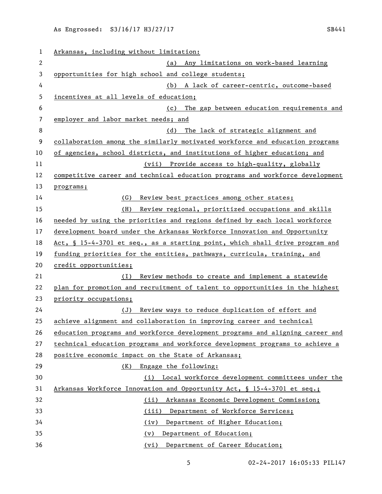| 1            | Arkansas, including without limitation:                                             |
|--------------|-------------------------------------------------------------------------------------|
| $\mathbf{2}$ | Any limitations on work-based learning<br>(a)                                       |
| $\mathbf 3$  | opportunities for high school and college students;                                 |
| 4            | (b) A lack of career-centric, outcome-based                                         |
| 5            | incentives at all levels of education;                                              |
| 6            | The gap between education requirements and<br>(c)                                   |
| 7            | employer and labor market needs; and                                                |
| 8            | The lack of strategic alignment and<br>(d)                                          |
| 9            | collaboration among the similarly motivated workforce and education programs        |
| 10           | of agencies, school districts, and institutions of higher education; and            |
| 11           | (vii) Provide access to high-quality, globally                                      |
| 12           | competitive career and technical education programs and workforce development       |
| 13           | programs;                                                                           |
| 14           | (G)<br>Review best practices among other states;                                    |
| 15           | Review regional, prioritized occupations and skills<br>(H)                          |
| 16           | needed by using the priorities and regions defined by each local workforce          |
| 17           | development board under the Arkansas Workforce Innovation and Opportunity           |
| 18           | <u>Act, § 15-4-3701 et seq., as a starting point, which shall drive program and</u> |
| 19           | funding priorities for the entities, pathways, curricula, training, and             |
| 20           | credit opportunities;                                                               |
| 21           | Review methods to create and implement a statewide<br>(I)                           |
| 22           | plan for promotion and recruitment of talent to opportunities in the highest        |
| 23           | priority occupations;                                                               |
| 24           | Review ways to reduce duplication of effort and<br>(J)                              |
| 25           | achieve alignment and collaboration in improving career and technical               |
| 26           | education programs and workforce development programs and aligning career and       |
| 27           | technical education programs and workforce development programs to achieve a        |
| 28           | positive economic impact on the State of Arkansas;                                  |
| 29           | Engage the following:<br>(K)                                                        |
| 30           | (i) Local workforce development committees under the                                |
| 31           | Arkansas Workforce Innovation and Opportunity Act, § 15-4-3701 et seq.;             |
| 32           | Arkansas Economic Development Commission;<br>(ii)                                   |
| 33           | Department of Workforce Services;<br>(iii)                                          |
| 34           | Department of Higher Education;<br>(iv)                                             |
| 35           | Department of Education;<br>(v)                                                     |
| 36           | (vi) Department of Career Education;                                                |